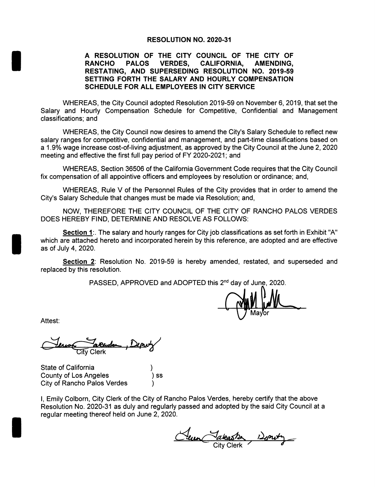## RESOLUTION NO. 2020-31

# A RESOLUTION OF THE CITY COUNCIL OF THE CITY OF RANCHO PALOS VERDES, CALIFORNIA, AMENDING, RESTATING, AND SUPERSEDING RESOLUTION NO. 2019-59 SETTING FORTH THE SALARY AND HOURLY COMPENSATION SCHEDULE FOR ALL EMPLOYEES IN CITY SERVICE

WHEREAS, the City Council adopted Resolution 2019-59 on November 6, 2019, that set the Salary and Hourly Compensation Schedule for Competitive, Confidential and Management classifications; and

WHEREAS, the City Council now desires to amend the City's Salary Schedule to reflect new salary ranges for competitive, confidential and management, and part-time classifications based on a 1.9% wage increase cost-of-living adjustment, as approved by the City Council at the June 2, 2020 meeting and effective the first full pay period of FY 2020-2021; and

WHEREAS, Section 36506 of the California Government Code requires that the City Council fix compensation of all appointive officers and employees by resolution or ordinance; and,

WHEREAS, Rule V of the Personnel Rules of the City provides that in order to amend the City's Salary Schedule that changes must be made via Resolution; and,

NOW, THEREFORE THE CITY COUNCIL OF THE CITY OF RANCHO PALOS VERDES DOES HEREBY FIND, DETERMINE AND RESOLVE AS FOLLOWS:

Section 1:. The salary and hourly ranges for City job classifications as set forth in Exhibit "A" which are attached hereto and incorporated herein by this reference, are adopted and are effective as of July 4, 2020.

Section 2: Resolution No. 2019-59 is hereby amended, restated, and superseded and replaced by this resolution.

PASSED, APPROVED and ADOPTED this 2<sup>nd</sup> day of June, 2020.

ani Lu  $\bigvee$  Mayor

Attest:

aruda ity Clerk

State of California County of Los Angeles City of Rancho Palos Verdes

I, Emily Colborn, City Clerk of the City of Rancho Palos Verdes, hereby certify that the above Resolution No. 2020-31 as duly and regularly passed and adopted by the said City Council at <sup>a</sup> regular meeting thereof held on June 2, 2020.

<u>Cleur Takesbe 12 prot</u>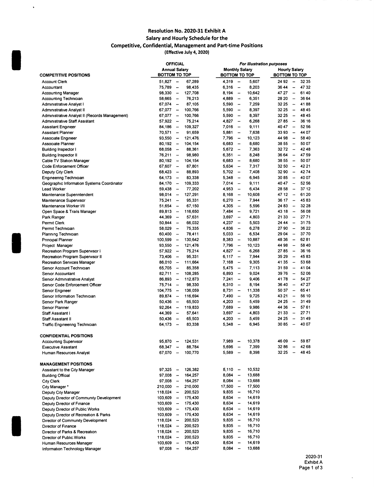#### Resolution No. 2020-31 Exhibit A Salary and Hourly Schedule for the Competitive, Confidential, Management and Part-time Positions Effective July 4, 2020)

 $\hat{\mathbf{v}}$ 

|                                                |                      | <b>OFFICIAL</b>          |         |                      | For illustration purposes    |        |               |                          |       |  |
|------------------------------------------------|----------------------|--------------------------|---------|----------------------|------------------------------|--------|---------------|--------------------------|-------|--|
|                                                | <b>Annual Salary</b> |                          |         |                      | <b>Monthly Salary</b>        |        |               | <b>Hourly Salary</b>     |       |  |
| <b>COMPETITIVE POSITIONS</b>                   | BOTTOM TO TOP        |                          |         | <b>BOTTOM TO TOP</b> |                              |        | BOTTOM TO TOP |                          |       |  |
| <b>Account Clerk</b>                           | $51,827 -$           |                          | 67,289  | 4,319                | $\sim$                       | 5,607  | 24 92         | $\overline{\phantom{m}}$ | 32 35 |  |
| Accountant                                     | 75,789               | $\overline{\phantom{a}}$ | 98,435  | 6,316                | $\overline{\phantom{a}}$     | 8,203  | 36 44         | $\overline{\phantom{a}}$ | 4732  |  |
| <b>Accounting Manager</b>                      | 98,330               | $\frac{1}{2}$            | 127,708 | 8,194                | $\overline{\phantom{a}}$     | 10,642 | 47 27         | $\overline{\phantom{a}}$ | 6140  |  |
| Accounting Technician                          | $58,665 -$           |                          | 76,213  | 4,889                | $\overline{\phantom{a}}$     | 6,351  | 28 20         | $\overline{\phantom{a}}$ | 36 64 |  |
| Administrative Analyst I                       | 67.074               | $\overline{\phantom{a}}$ | 87,105  | 5,590                | $\overline{\phantom{a}}$     | 7,259  | 32 25         | $\overline{\phantom{a}}$ | 4188  |  |
| Administrative Analyst II                      | $67,077 -$           |                          | 100,766 | 5,590                | $\overline{\phantom{a}}$     | 8,397  | 32 25         | $\overline{\phantom{a}}$ | 48 45 |  |
| Administrative Analyst II (Records Management) | 67,077               | $\overline{\phantom{m}}$ | 100,766 | 5,590                | $\overline{\phantom{a}}$     | 8,397  | 32 25         | $\overline{\phantom{a}}$ | 4845  |  |
| Administrative Staff Assistant                 | $57,922 -$           |                          | 75,214  | 4,827                | $\overline{a}$               | 6,268  | 2785          | $\overline{\phantom{a}}$ | 36 16 |  |
| <b>Assistant Engineer</b>                      | 84,186               | $\sim$                   | 109,327 | 7,016                | $\overline{\phantom{a}}$     | 9,111  | 40 47         | $\overline{\phantom{a}}$ | 52 56 |  |
| <b>Assistant Planner</b>                       | $70,571 -$           |                          | 91,659  | 5,881                | $\overline{a}$               | 7,638  | 33 93         | $\overline{\phantom{a}}$ | 44 07 |  |
| Associate Engineer                             | 93,550               | $\overline{\phantom{a}}$ | 121,476 | 7,796                | $\overline{\phantom{0}}$     | 10.123 | 44 98         | $\overline{\phantom{a}}$ | 58 40 |  |
| Associate Planner                              | $80,192 -$           |                          | 104,154 | 6,683                | $\overline{\phantom{a}}$     | 8,680  | 38 55         | $\overline{\phantom{a}}$ | 50 07 |  |
| Building Inspector I                           | 68,058               | $\overline{\phantom{m}}$ | 88,361  | 5,672                | $\overline{\phantom{a}}$     | 7,363  | 3272          | $\overline{\phantom{a}}$ | 4248  |  |
| <b>Building Inspector II</b>                   | 76,211               | $\overline{\phantom{a}}$ | 98,980  | 6,351                | $\frac{1}{2}$                | 8,248  | 36 64         | $\frac{1}{2}$            | 47 59 |  |
| Cable TV Station Manager                       | 80,192               | $\overline{\phantom{a}}$ | 104,154 | 6,683                | $\overline{\phantom{m}}$     | 8,680  | 38 55         | $\overline{\phantom{a}}$ | 50 07 |  |
| Code Enforcement Officer                       | 67,607               | $\rightarrow$            | 87,801  | 5,634                | $\frac{1}{2}$                | 7,317  | 32 50         | $\frac{1}{2}$            | 42 21 |  |
|                                                | 68.423               |                          |         |                      |                              |        | 3290          |                          | 4274  |  |
| Deputy City Clerk                              |                      | $\overline{\phantom{a}}$ | 88,893  | 5,702                | $\overline{\phantom{a}}$     | 7,408  |               | $\overline{\phantom{a}}$ |       |  |
| Engineering Technician                         | 64,173               | $\sim$                   | 83,338  | 5,348                | $\overline{\phantom{a}}$     | 6,945  | 3085          | $\overline{\phantom{a}}$ | 40 07 |  |
| Geographic Information Systems Coordinator     | 84,170               | $\overline{\phantom{a}}$ | 109,333 | 7,014                | $\overline{\phantom{a}}$     | 9,111  | 40 47         | $\overline{\phantom{a}}$ | 52 56 |  |
| Lead Worker                                    | 59,438               | $\overline{\phantom{a}}$ | 77,202  | 4,953                | $\overline{\phantom{a}}$     | 6,434  | 28 58         | $\overline{\phantom{a}}$ | 37 12 |  |
| Maintenance Supenntendent                      | 98,014               | $\overline{\phantom{a}}$ | 127,291 | 8,168                | $\qquad \qquad \blacksquare$ | 10,608 | 47 12         | $\overline{\phantom{a}}$ | 61 20 |  |
| Maintenance Supervisor                         | 75.241               | $\overline{\phantom{a}}$ | 95,331  | 6,270                | $\qquad \qquad \cdots$       | 7,944  | 36 17         | $\overline{\phantom{a}}$ | 4583  |  |
| Maintenance Worker I/II                        | 51,654               | $\overline{\phantom{a}}$ | 67,150  | 4,305                | -                            | 5,596  | 24 83         | $\overline{\phantom{a}}$ | 32 28 |  |
| Open Space & Trails Manager                    | 89,813               | $\overline{\phantom{a}}$ | 116,650 | 7,484                | --                           | 9,721  | 43 18         | $\overline{\phantom{a}}$ | 56 08 |  |
| Park Ranger                                    | 44.369               | $\overline{\phantom{a}}$ | 57,631  | 3,697                | $\overline{\phantom{a}}$     | 4,803  | 21 33         | $\overline{\phantom{a}}$ | 2771  |  |
| Permit Clerk                                   | 50.844               | $\frac{1}{2}$            | 66,032  | 4,237                | $\overline{\phantom{a}}$     | 5,503  | 24 44         | $\overline{\phantom{a}}$ | 3175  |  |
| Permit Technician                              | 58,029               | $\overline{\phantom{a}}$ | 75,335  | 4,836                | $\frac{1}{2}$                | 6,278  | 2790          | $\ddot{\phantom{a}}$     | 36 22 |  |
| Planning Technician                            | 60,400               | $\overline{\phantom{a}}$ | 78,411  | 5,033                | $\frac{1}{2}$                | 6,534  | 29 04         | $\overline{\phantom{a}}$ | 3770  |  |
| Principal Planner                              | 100,599              | $\overline{\phantom{a}}$ | 130,642 | 8,383                | $\frac{1}{2}$                | 10,887 | 48 36         | $\overline{\phantom{a}}$ | 6281  |  |
| Project Manager                                | 93,550               | $\overline{\phantom{a}}$ | 121,476 | 7,796                | $\ddot{\phantom{1}}$         | 10,123 | 44 98         | $\overline{\phantom{a}}$ | 5840  |  |
| Recreation Program Supervisor I                | $57,922 -$           |                          | 75,214  | 4,827                | $\ddot{\phantom{0}}$         | 6,268  | 2785          | $\overline{\phantom{a}}$ | 36 16 |  |
| Recreation Program Supervisor II               | 73,406               | $\overline{\phantom{a}}$ | 95,331  | 6,117                | -                            | 7.944  | 35 29         | $\overline{\phantom{a}}$ | 4583  |  |
| Recreation Services Manager                    | 86,010               | $\sim$                   | 111,664 | 7,168                | $\qquad \qquad \blacksquare$ | 9,305  | 4135          | $\overline{\phantom{a}}$ | 53 68 |  |
| Senior Account Technician                      | 65,705               | $\overline{\phantom{a}}$ | 85,358  | 5.475                | $\qquad \qquad \blacksquare$ | 7,113  | 3159          | $\overline{\phantom{a}}$ | 41 04 |  |
| Senior Accountant                              | 82,711               | $\overline{\phantom{a}}$ | 108,285 | 6,893                | $\overline{\phantom{m}}$     | 9,024  | 3976          | $\overline{\phantom{a}}$ | 52 06 |  |
| Senior Administrative Analyst                  | 86,893               | $\overline{\phantom{a}}$ | 112,873 | 7,241                | $\overline{\phantom{a}}$     | 9,406  | 4178          | $\overline{\phantom{a}}$ | 54 27 |  |
| Senior Code Enforcement Officer                | 75,714               | $\overline{\phantom{a}}$ | 98,330  | 6,310                | $\frac{1}{2}$                | 8.194  | 3640          | $\overline{\phantom{a}}$ | 47 27 |  |
|                                                |                      |                          |         |                      |                              |        | 50 37         | $\overline{\phantom{a}}$ | 6541  |  |
| Senior Engineer                                | 104,775              | $\overline{\phantom{a}}$ | 136,059 | 8,731                | $\qquad \qquad \blacksquare$ | 11,338 |               | $\overline{\phantom{a}}$ | 56 10 |  |
| Senior Information Technician                  | 89,874               | $\frac{1}{2}$            | 116,694 | 7,490                | $\frac{1}{2}$                | 9,725  | 43 21         |                          | 31 49 |  |
| Senior Park Ranger                             | 50.436               | $\overline{\phantom{a}}$ | 65,503  | 4,203                | $\overline{\phantom{a}}$     | 5,459  | 24 25         | $\overline{\phantom{a}}$ |       |  |
| Senior Planner                                 | 92,264               | $\overline{\phantom{a}}$ | 119,833 | 7,689                | $\overline{\phantom{a}}$     | 9,986  | 44 36         | $\frac{1}{2}$            | 5761  |  |
| Staff Assistant I                              | 44.369               | $\overline{\phantom{a}}$ | 57,641  | 3,697                | $\overline{\phantom{a}}$     | 4,803  | 21 33         | $\overline{\phantom{a}}$ | 2771  |  |
| <b>Staff Assistant II</b>                      | 50,436               | $\overline{\phantom{a}}$ | 65,503  | 4,203                | $\overline{\phantom{a}}$     | 5,459  | 24 25         | $\overline{\phantom{m}}$ | 3149  |  |
| Traffic Engineering Technician                 | 64,173 –             |                          | 83,338  | 5,348                | $\overline{\phantom{a}}$     | 6,945  | 3085          | -                        | 40 07 |  |
|                                                |                      |                          |         |                      |                              |        |               |                          |       |  |
| <b>CONFIDENTIAL POSITIONS</b>                  |                      |                          |         |                      |                              |        |               |                          |       |  |
| <b>Accounting Supervisor</b>                   | 95,870               | $\overline{\phantom{a}}$ | 124,531 | 7,989                | $\overline{\phantom{a}}$     | 10,378 | 46 09         |                          | 5987  |  |
| <b>Executive Assistant</b>                     | 68,347               | -                        | 88,784  | 5,696                | $\overline{\phantom{a}}$     | 7,399  | 3286          |                          | 4268  |  |
| Human Resources Analyst                        | 67,070               | $\overline{\phantom{a}}$ | 100,770 | 5,589                | $\overline{\phantom{a}}$     | 8,398  | 32 25         | μ.                       | 4845  |  |
|                                                |                      |                          |         |                      |                              |        |               |                          |       |  |
| <b>MANAGEMENT POSITIONS</b>                    |                      |                          |         |                      |                              |        |               |                          |       |  |
| Assistant to the City Manager                  | $97,325 -$           |                          | 126,382 | 8,110                | $\overline{\phantom{a}}$     | 10,532 |               |                          |       |  |
| <b>Building Official</b>                       | $97,008 -$           |                          | 164,257 | 8,084                | $\overline{\phantom{m}}$     | 13,688 |               |                          |       |  |
| <b>City Clerk</b>                              | $97,008 -$           |                          | 164,257 | 8,084                | $\overline{\phantom{a}}$     | 13,688 |               |                          |       |  |
| City Manager *                                 | 210,000              | $\overline{\phantom{a}}$ | 210,000 | 17,500               | $\overline{\phantom{a}}$     | 17,500 |               |                          |       |  |
| Deputy City Manager                            | 118,024              | $\overline{\phantom{a}}$ | 200,523 | 9,835                | $\overline{\phantom{a}}$     | 16,710 |               |                          |       |  |
| Deputy Director of Community Development       | 103,609              | $\overline{\phantom{a}}$ | 175,430 | 8,634                | $\overline{\phantom{a}}$     | 14,619 |               |                          |       |  |
| Deputy Director of Finance                     | 103,609              | $\overline{\phantom{a}}$ | 175,430 | 8,634                | $\overline{\phantom{a}}$     | 14,619 |               |                          |       |  |
| Deputy Director of Public Works                | 103,609              | $\overline{\phantom{a}}$ | 175,430 | 8,634                | $\overline{\phantom{m}}$     | 14,619 |               |                          |       |  |
| Deputy Director of Recreation & Parks          | 103,609              | $\overline{\phantom{a}}$ | 175,430 | 8,634                | $\overline{\phantom{a}}$     | 14,619 |               |                          |       |  |
| Director of Community Development              | $118,024 -$          |                          | 200,523 | 9,835                | $\overline{\phantom{m}}$     | 16,710 |               |                          |       |  |
| Director of Finance                            | $118,024 -$          |                          | 200,523 | 9,835                | $\overline{\phantom{a}}$     | 16,710 |               |                          |       |  |
| Director of Parks & Recreation                 | $118,024 -$          |                          | 200,523 | 9,835                | $\bullet\bullet$             | 16,710 |               |                          |       |  |
| Director of Public Works                       | 118,024              | $\sim$                   | 200,523 | 9,835                | $\overline{\phantom{a}}$     | 16,710 |               |                          |       |  |
| Human Resources Manager                        | 103,609              | $\sim$                   | 175,430 | 8,634                | $\overline{\phantom{a}}$     | 14,619 |               |                          |       |  |
| Information Technology Manager                 | 97,008               | $\overline{\phantom{a}}$ | 164,257 | 8,084                | $\qquad \qquad \blacksquare$ | 13,688 |               |                          |       |  |
|                                                |                      |                          |         |                      |                              |        |               |                          |       |  |

 $\bar{\mathcal{A}}$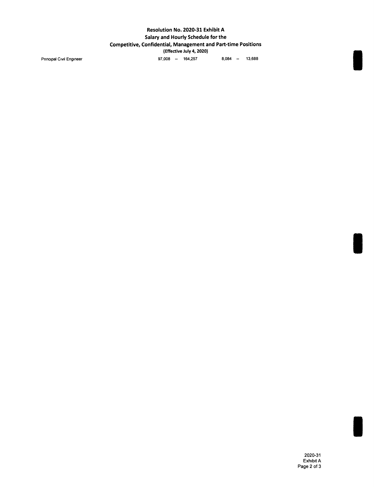## Resolution No. 2020-31 Exhibit A Salary and Hourly Schedule for the Competitive, Confidential, Management and Part- time Positions Effective July 4, 2020) Pnncipal Civil Engineer 13,688 -- 164, 257 8, 084 -- 13,688

I

I